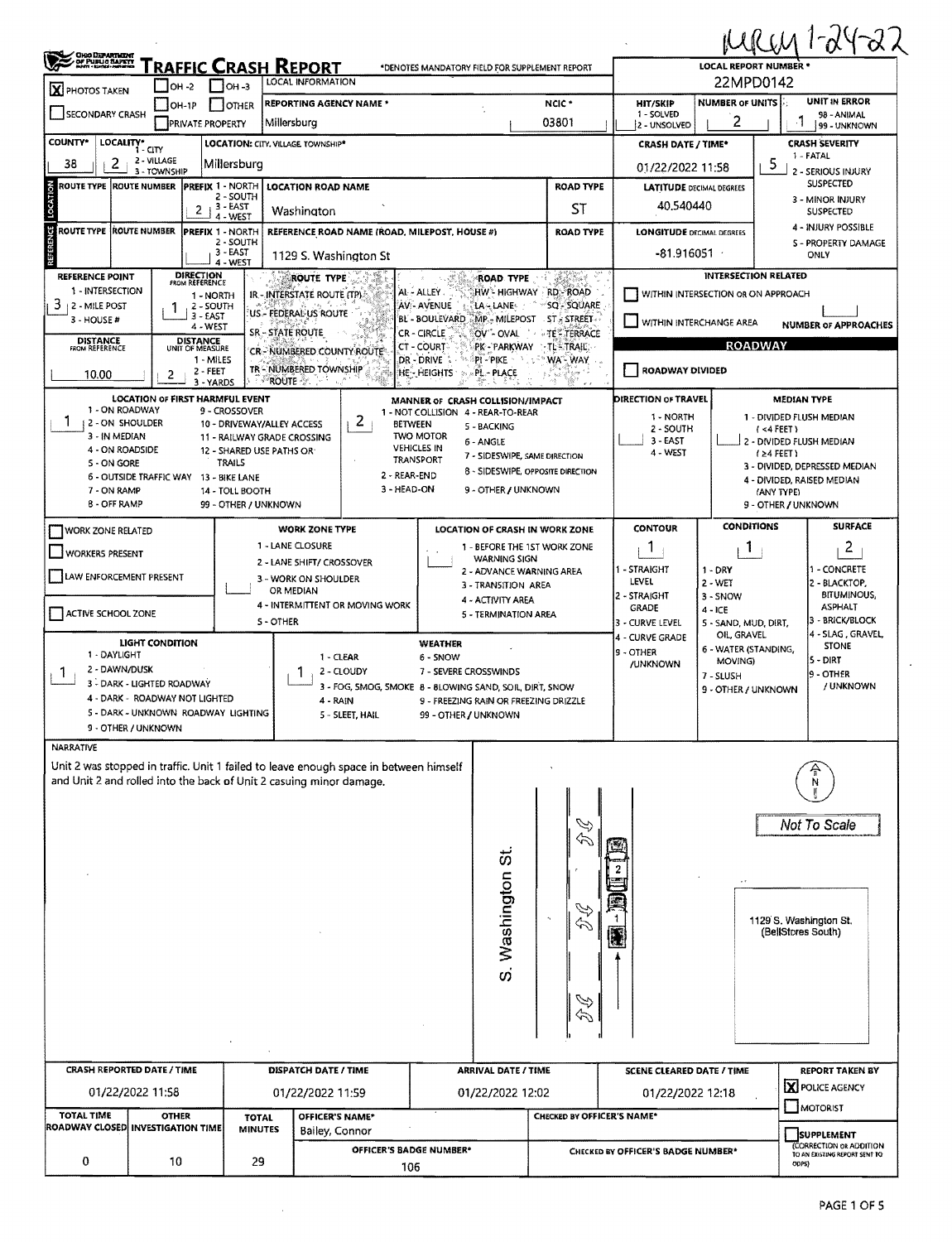|                                                                                                                                                                                                |                                                                                  |                                                                                                                                    |                                                                                                               |                                                                                                                                                                                                                                                                                                                                                                                                                                       |                                                                                                                               |                                                                                  |                                               |                                                                                                                                               |                                                                       | MRM 1-24-22                                                                                                                                                                                             |  |  |  |
|------------------------------------------------------------------------------------------------------------------------------------------------------------------------------------------------|----------------------------------------------------------------------------------|------------------------------------------------------------------------------------------------------------------------------------|---------------------------------------------------------------------------------------------------------------|---------------------------------------------------------------------------------------------------------------------------------------------------------------------------------------------------------------------------------------------------------------------------------------------------------------------------------------------------------------------------------------------------------------------------------------|-------------------------------------------------------------------------------------------------------------------------------|----------------------------------------------------------------------------------|-----------------------------------------------|-----------------------------------------------------------------------------------------------------------------------------------------------|-----------------------------------------------------------------------|---------------------------------------------------------------------------------------------------------------------------------------------------------------------------------------------------------|--|--|--|
| GHO DEPARTMENT<br>- OF PUBLIC SAPETY<br>- North Monai Hermann<br>RAFFIC CRASH REPORT<br>*DENOTES MANDATORY FIELD FOR SUPPLEMENT REPORT<br>LOCAL INFORMATION                                    |                                                                                  |                                                                                                                                    |                                                                                                               |                                                                                                                                                                                                                                                                                                                                                                                                                                       |                                                                                                                               |                                                                                  |                                               |                                                                                                                                               | <b>LOCAL REPORT NUMBER *</b>                                          |                                                                                                                                                                                                         |  |  |  |
| $\mathbf X$ PHOTOS TAKEN                                                                                                                                                                       | $I$ OH -2                                                                        | $IOH-3$                                                                                                                            |                                                                                                               |                                                                                                                                                                                                                                                                                                                                                                                                                                       |                                                                                                                               |                                                                                  | 22MPD0142<br>UNIT IN ERROR<br><b>HIT/SKIP</b> |                                                                                                                                               |                                                                       |                                                                                                                                                                                                         |  |  |  |
| SECONDARY CRASH                                                                                                                                                                                | $[OH-1P]$                                                                        | <b>OTHER</b><br><b>PRIVATE PROPERTY</b>                                                                                            |                                                                                                               | NCIC*<br><b>REPORTING AGENCY NAME *</b><br>03801<br>Millersburg                                                                                                                                                                                                                                                                                                                                                                       |                                                                                                                               |                                                                                  |                                               |                                                                                                                                               | <b>NUMBER OF UNITS</b><br>2                                           | 98 - ANIMAL<br>99 - UNKNOWN                                                                                                                                                                             |  |  |  |
| <b>COUNTY*</b><br>LOCALITY*                                                                                                                                                                    | í - CITY                                                                         |                                                                                                                                    |                                                                                                               | <b>LOCATION: CITY, VILLAGE TOWNSHIP*</b>                                                                                                                                                                                                                                                                                                                                                                                              |                                                                                                                               |                                                                                  |                                               | <b>CRASH DATE / TIME*</b>                                                                                                                     |                                                                       | <b>CRASH SEVERITY</b>                                                                                                                                                                                   |  |  |  |
| 2<br>38                                                                                                                                                                                        | 2 - VILLAGE<br>3 - TOWNSHIP                                                      | Millersburg                                                                                                                        |                                                                                                               |                                                                                                                                                                                                                                                                                                                                                                                                                                       |                                                                                                                               |                                                                                  |                                               | 01/22/2022 11:58                                                                                                                              | 1 - FATAL<br>5<br>2 - SERIOUS INJURY                                  |                                                                                                                                                                                                         |  |  |  |
| ROUTE TYPE  ROUTE NUMBER                                                                                                                                                                       |                                                                                  | PREFIX 1 - NORTH<br>2 - SOUTH                                                                                                      |                                                                                                               | <b>LOCATION ROAD NAME</b>                                                                                                                                                                                                                                                                                                                                                                                                             |                                                                                                                               |                                                                                  | <b>ROAD TYPE</b>                              | <b>SUSPECTED</b><br><b>LATITUDE DECIMAL DEGREES</b>                                                                                           |                                                                       |                                                                                                                                                                                                         |  |  |  |
| LOCATION                                                                                                                                                                                       |                                                                                  | 3 - EAST<br>21<br>4 - WEST                                                                                                         |                                                                                                               | Washington                                                                                                                                                                                                                                                                                                                                                                                                                            |                                                                                                                               |                                                                                  | ST                                            | 40.540440                                                                                                                                     |                                                                       | 3 - MINOR INJURY<br><b>SUSPECTED</b><br>4 - INJURY POSSIBLE                                                                                                                                             |  |  |  |
| <b>REFERENCE</b><br><b>ROUTE TYPE ROUTE NUMBER</b>                                                                                                                                             |                                                                                  | <b>PREFIX 1 - NORTH</b><br>2 - SOUTH<br>$3 - EAST$<br>4 - WEST                                                                     |                                                                                                               | REFERENCE ROAD NAME (ROAD, MILEPOST, HOUSE #)<br>1129 S. Washington St                                                                                                                                                                                                                                                                                                                                                                |                                                                                                                               |                                                                                  | <b>ROAD TYPE</b>                              | <b>LONGITUDE DECIMAL DEGREES</b><br><b>S - PROPERTY DAMAGE</b><br>-81.916051 ·<br>ONLY                                                        |                                                                       |                                                                                                                                                                                                         |  |  |  |
| <b>REFERENCE POINT</b><br>1 - INTERSECTION<br>3<br>2 - MILE POST<br>3 - HOUSE #<br><b>DISTANCE</b><br><b>FROM REFERENCE</b>                                                                    |                                                                                  | <b>DIRECTION</b><br>FROM REFERENCE<br>1 - NORTH<br>2 - SOUTH<br>$3 - EAST$<br>4 - WEST<br>DISTANCE<br>UNIT OF MEASURE<br>1 - MILES |                                                                                                               | <b>ROUTE TYPE</b><br><b>ROAD TYPE</b><br>HW- HIGHWAY RD-ROAD<br>AL - ALLEY.<br>IR - INTERSTATE ROUTE (TP).<br><b>AV:- AVENUE</b><br>LA LANE<br>SQ - SQUARE<br>US - FEDERAL US ROUTE<br>BL - BOULEVARD MP - MILEPOST ST - STREET<br>SR - STATE ROUTE<br>CR-CIRCLE<br>OV - OVAL<br>TE <sup>2</sup> TERRACE<br><b>CT - COURT</b><br><b>TLETRAIL</b><br>PK - PARKWAY<br>CR - NUMBERED COUNTY ROUTE<br>WA - WAY<br>DR - DRIVE<br>PI - PIKE |                                                                                                                               |                                                                                  |                                               | <b>INTERSECTION RELATED</b><br>WITHIN INTERSECTION OR ON APPROACH<br>WITHIN INTERCHANGE AREA<br><b>NUMBER OF APPROACHES</b><br><b>ROADWAY</b> |                                                                       |                                                                                                                                                                                                         |  |  |  |
| 10.00                                                                                                                                                                                          | 2                                                                                | $2 - FEET$<br>3 - YARDS                                                                                                            |                                                                                                               | TR-NUMBERED TOWNSHIP<br>'ROUTE - ?'                                                                                                                                                                                                                                                                                                                                                                                                   | HE - HEIGHTS                                                                                                                  | PL - PLACE                                                                       |                                               | ROADWAY DIVIDED                                                                                                                               |                                                                       |                                                                                                                                                                                                         |  |  |  |
| 1 - ON ROADWAY<br>L<br>2 - ON SHOULDER<br>3 - IN MEDIAN<br>4 - ON ROADSIDE<br>5 - ON GORE<br>7 - ON RAMP<br>8 - OFF RAMP                                                                       | <b>LOCATION OF FIRST HARMFUL EVENT</b><br>6 - OUTSIDE TRAFFIC WAY 13 - BIKE LANE | 9 - CROSSOVER<br><b>TRAILS</b><br>14 - TOLL BOOTH                                                                                  | 10 - DRIVEWAY/ALLEY ACCESS<br>11 - RAILWAY GRADE CROSSING<br>12 - SHARED USE PATHS OR<br>99 - OTHER / UNKNOWN | z<br><b>BETWEEN</b><br>2 - REAR-END<br>3 - HEAD-ON                                                                                                                                                                                                                                                                                                                                                                                    | MANNER OF CRASH COLLISION/IMPACT<br>1 - NOT COLLISION 4 - REAR-TO-REAR<br><b>TWO MOTOR</b><br><b>VEHICLES IN</b><br>TRANSPORT | 5 - BACKING<br>6 - ANGLE<br>7 - SIDESWIPE, SAME DIRECTION<br>9 - OTHER / UNKNOWN | 8 - SIDESWIPE, OPPOSITE DIRECTION             | <b>DIRECTION OF TRAVEL</b><br>1 - NORTH<br>2 - SOUTH<br>$3 - EAST$<br>4 - WEST                                                                |                                                                       | <b>MEDIAN TYPE</b><br>1 - DIVIDED FLUSH MEDIAN<br>(4FEE)<br>2 - DIVIDED FLUSH MEDIAN<br>$(24$ FEET)<br>3 - DIVIDED, DEPRESSED MEDIAN<br>4 - DIVIDED, RAISED MEDIAN<br>(ANY TYPE)<br>9 - OTHER / UNKNOWN |  |  |  |
| <b>WORK ZONE RELATED</b>                                                                                                                                                                       |                                                                                  |                                                                                                                                    |                                                                                                               | <b>WORK ZONE TYPE</b>                                                                                                                                                                                                                                                                                                                                                                                                                 |                                                                                                                               |                                                                                  | LOCATION OF CRASH IN WORK ZONE                | <b>CONTOUR</b>                                                                                                                                | <b>CONDITIONS</b>                                                     | <b>SURFACE</b>                                                                                                                                                                                          |  |  |  |
| <b>WORKERS PRESENT</b>                                                                                                                                                                         |                                                                                  |                                                                                                                                    |                                                                                                               | 1 - LANE CLOSURE                                                                                                                                                                                                                                                                                                                                                                                                                      | 1 - BEFORE THE 1ST WORK ZONE<br><b>WARNING SIGN</b>                                                                           | 1                                                                                | T.                                            | 2                                                                                                                                             |                                                                       |                                                                                                                                                                                                         |  |  |  |
| LAW ENFORCEMENT PRESENT                                                                                                                                                                        |                                                                                  |                                                                                                                                    |                                                                                                               | 2 - LANE SHIFT/ CROSSOVER<br>3 - WORK ON SHOULDER<br>OR MEDIAN<br>4 - INTERMITTENT OR MOVING WORK                                                                                                                                                                                                                                                                                                                                     |                                                                                                                               | 2 - ADVANCE WARNING AREA<br>3 - TRANSITION AREA<br>4 - ACTIVITY AREA             |                                               | 1 - STRAIGHT<br>LEVEL<br>2 - STRAIGHT                                                                                                         | 1 - CONCRETE<br>2 - BLACKTOP,<br><b>BITUMINOUS,</b><br><b>ASPHALT</b> |                                                                                                                                                                                                         |  |  |  |
| ACTIVE SCHOOL ZONE                                                                                                                                                                             |                                                                                  |                                                                                                                                    | <b>S-OTHER</b>                                                                                                |                                                                                                                                                                                                                                                                                                                                                                                                                                       |                                                                                                                               | 5 - TERMINATION AREA                                                             |                                               | <b>GRADE</b><br>3 - CURVE LEVEL<br>4 - CURVE GRADE                                                                                            | $4 - ICE$<br>5 - SAND, MUD, DIRT.<br>OIL, GRAVEL                      | 3 - BRICK/BLOCK<br>4 - SLAG, GRAVEL,                                                                                                                                                                    |  |  |  |
| LIGHT CONDITION<br>1 - DAYLIGHT<br>2 - DAWN/DUSK<br><sup>1</sup><br>3 - DARK - LIGHTED ROADWAY<br>4 - DARK - ROADWAY NOT LIGHTED<br>5 - DARK - UNKNOWN ROADWAY LIGHTING<br>9 - OTHER / UNKNOWN |                                                                                  |                                                                                                                                    |                                                                                                               | <b>WEATHER</b><br>1 - CLEAR<br>6 - SNOW<br>2 - CLOUDY<br>7 - SEVERE CROSSWINDS<br>3 - FOG, SMOG, SMOKE 8 - 8LOWING SAND, SOIL, DIRT, SNOW<br>4 - RAIN<br>9 - FREEZING RAIN OR FREEZING DRIZZLE<br>5 - SLEET, HAIL<br>99 - OTHER / UNKNOWN                                                                                                                                                                                             |                                                                                                                               |                                                                                  |                                               | 9 - OTHER<br>/UNKNOWN                                                                                                                         | 6 - WATER (STANDING,<br>MOVING)<br>7 - SLUSH<br>9 - OTHER / UNKNOWN   | <b>STONE</b><br>5 - DIRT<br>9 - OTHER<br>/ UNKNOWN                                                                                                                                                      |  |  |  |
| <b>NARRATIVE</b>                                                                                                                                                                               |                                                                                  |                                                                                                                                    |                                                                                                               |                                                                                                                                                                                                                                                                                                                                                                                                                                       |                                                                                                                               |                                                                                  |                                               |                                                                                                                                               |                                                                       |                                                                                                                                                                                                         |  |  |  |
|                                                                                                                                                                                                |                                                                                  |                                                                                                                                    |                                                                                                               | Unit 2 was stopped in traffic. Unit 1 failed to leave enough space in between himself<br>and Unit 2 and rolled into the back of Unit 2 casuing minor damage,                                                                                                                                                                                                                                                                          |                                                                                                                               | Washington St<br>တ်                                                              | D<br>D<br>令                                   |                                                                                                                                               | $\ddot{\phantom{0}}$                                                  | Not To Scale<br>1129 S. Washington St.<br>(BellStores South)                                                                                                                                            |  |  |  |
| CRASH REPORTED DATE / TIME                                                                                                                                                                     |                                                                                  |                                                                                                                                    |                                                                                                               | <b>DISPATCH DATE / TIME</b>                                                                                                                                                                                                                                                                                                                                                                                                           |                                                                                                                               | <b>ARRIVAL DATE / TIME</b>                                                       |                                               | <b>SCENE CLEARED DATE / TIME</b>                                                                                                              |                                                                       | <b>REPORT TAKEN BY</b>                                                                                                                                                                                  |  |  |  |
|                                                                                                                                                                                                | 01/22/2022 11:58                                                                 |                                                                                                                                    |                                                                                                               | 01/22/2022 11:59                                                                                                                                                                                                                                                                                                                                                                                                                      |                                                                                                                               | 01/22/2022 12:02                                                                 |                                               | 01/22/2022 12:18                                                                                                                              |                                                                       | X POLICE AGENCY                                                                                                                                                                                         |  |  |  |
| TOTAL TIME<br><b>ROADWAY CLOSED INVESTIGATION TIME</b>                                                                                                                                         | <b>OTHER</b>                                                                     |                                                                                                                                    | <b>TOTAL</b><br><b>MINUTES</b>                                                                                | OFFICER'S NAME*<br>Bailey, Connor                                                                                                                                                                                                                                                                                                                                                                                                     |                                                                                                                               |                                                                                  | <b>CHECKED BY OFFICER'S NAME*</b>             |                                                                                                                                               |                                                                       | MOTORIST                                                                                                                                                                                                |  |  |  |
| 0                                                                                                                                                                                              | 10                                                                               |                                                                                                                                    | 29                                                                                                            | OFFICER'S BADGE NUMBER*<br>106                                                                                                                                                                                                                                                                                                                                                                                                        |                                                                                                                               |                                                                                  |                                               | CHECKED BY OFFICER'S BADGE NUMBER*                                                                                                            |                                                                       | <b>SUPPLEMENT</b><br>(CORRECTION OR ADDITION<br>TO AN EXISTING REPORT SENT TO<br>ODPS)                                                                                                                  |  |  |  |
|                                                                                                                                                                                                |                                                                                  |                                                                                                                                    |                                                                                                               |                                                                                                                                                                                                                                                                                                                                                                                                                                       |                                                                                                                               |                                                                                  |                                               |                                                                                                                                               |                                                                       |                                                                                                                                                                                                         |  |  |  |

 $\sim$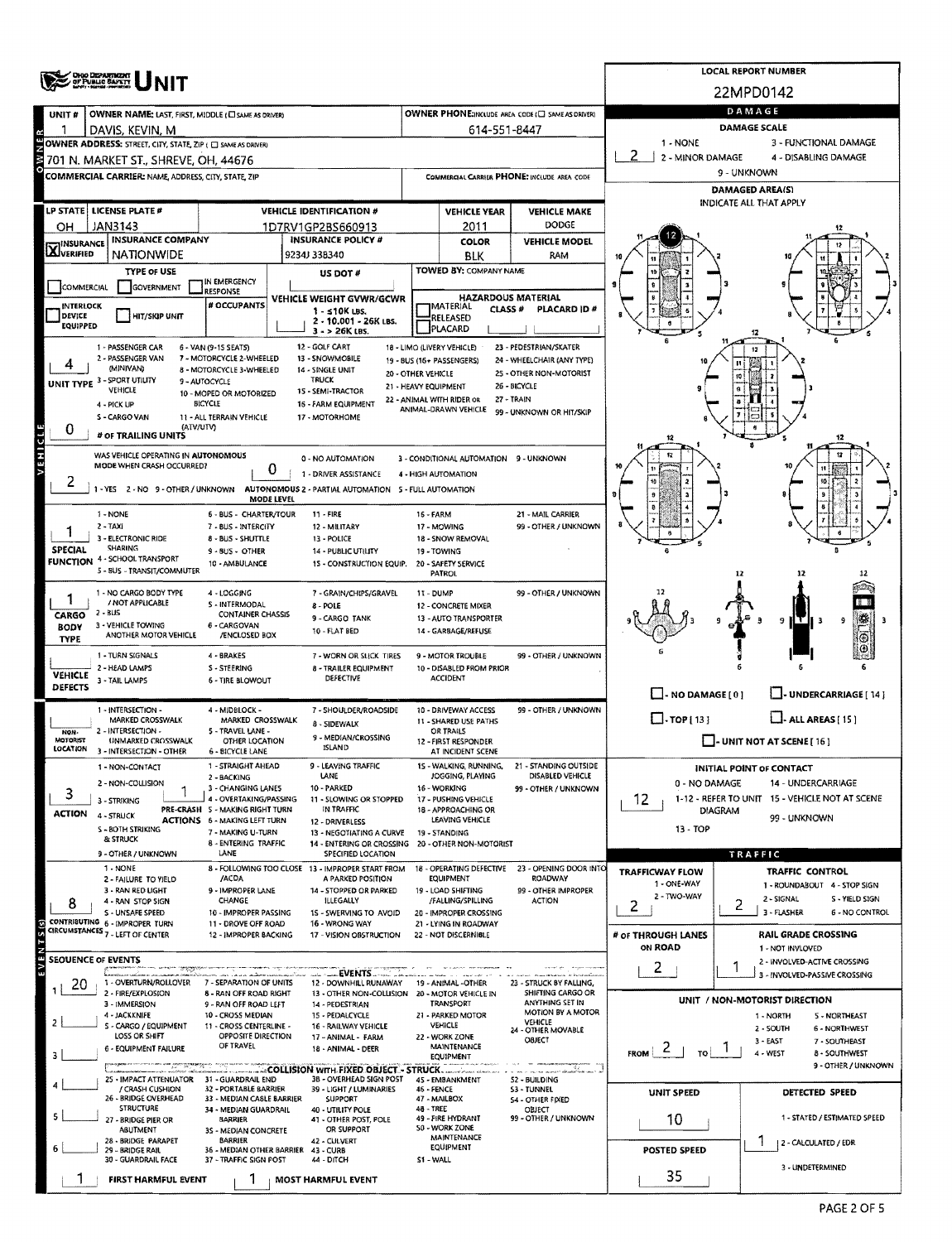|                                | <b>ONO DEPARTMENT</b><br>OF PUBLIC BAPETT                                                                                                                                                                                           |                                                                        | <b>LOCAL REPORT NUMBER</b>                                                                                        |                                                                                 |                                                             |                                                                   |                                                                                     |                                                                      |  |  |  |  |
|--------------------------------|-------------------------------------------------------------------------------------------------------------------------------------------------------------------------------------------------------------------------------------|------------------------------------------------------------------------|-------------------------------------------------------------------------------------------------------------------|---------------------------------------------------------------------------------|-------------------------------------------------------------|-------------------------------------------------------------------|-------------------------------------------------------------------------------------|----------------------------------------------------------------------|--|--|--|--|
|                                |                                                                                                                                                                                                                                     |                                                                        |                                                                                                                   |                                                                                 |                                                             |                                                                   | 22MPD0142                                                                           |                                                                      |  |  |  |  |
| UNIT#                          | OWNER NAME: LAST, FIRST, MIDDLE (CI SAME AS ORIVER)                                                                                                                                                                                 |                                                                        |                                                                                                                   |                                                                                 |                                                             | OWNER PHONE:INCLUDE AREA CODE (E) SAME AS DRIVER)                 |                                                                                     | DAMAGE                                                               |  |  |  |  |
|                                | DAVIS, KEVIN, M                                                                                                                                                                                                                     |                                                                        |                                                                                                                   |                                                                                 | 614-551-8447                                                |                                                                   |                                                                                     | <b>DAMAGE SCALE</b>                                                  |  |  |  |  |
|                                | OWNER ADDRESS: STREET, CITY, STATE, ZIP (□ SAME AS DRIVER)<br>701 N. MARKET ST., SHREVE, OH, 44676                                                                                                                                  |                                                                        |                                                                                                                   |                                                                                 |                                                             |                                                                   | 1 - NONE<br>3 - FUNCTIONAL DAMAGE<br>-2<br>2 - MINOR DAMAGE<br>4 - DISABLING DAMAGE |                                                                      |  |  |  |  |
|                                | COMMERCIAL CARRIER: NAME, ADDRESS, CITY, STATE, ZIP                                                                                                                                                                                 |                                                                        |                                                                                                                   | COMMERCIAL CARRIER PHONE: INCLUDE AREA CODE                                     |                                                             |                                                                   | 9 - UNKNOWN                                                                         |                                                                      |  |  |  |  |
|                                |                                                                                                                                                                                                                                     |                                                                        |                                                                                                                   |                                                                                 |                                                             |                                                                   | DAMAGED AREA(S)                                                                     |                                                                      |  |  |  |  |
|                                | LP STATE LICENSE PLATE #                                                                                                                                                                                                            |                                                                        | <b>VEHICLE IDENTIFICATION #</b>                                                                                   |                                                                                 | <b>VEHICLE YEAR</b>                                         | <b>VEHICLE MAKE</b>                                               |                                                                                     | INDICATE ALL THAT APPLY                                              |  |  |  |  |
| он                             | JAN3143                                                                                                                                                                                                                             |                                                                        | 1D7RV1GP2BS660913                                                                                                 |                                                                                 | 2011                                                        | DODGE                                                             |                                                                                     |                                                                      |  |  |  |  |
| <b>X</b> INSURANCE             | <b>INSURANCE COMPANY</b><br><b>NATIONWIDE</b>                                                                                                                                                                                       |                                                                        | <b>INSURANCE POLICY #</b><br>9234J 338340                                                                         |                                                                                 | <b>COLOR</b><br><b>BLK</b>                                  | <b>VEHICLE MODEL</b><br>RAM                                       |                                                                                     |                                                                      |  |  |  |  |
|                                | <b>TYPE OF USE</b>                                                                                                                                                                                                                  |                                                                        | US DOT #                                                                                                          |                                                                                 | TOWED BY: COMPANY NAME                                      |                                                                   |                                                                                     |                                                                      |  |  |  |  |
| COMMERCIAL                     | GOVERNMENT                                                                                                                                                                                                                          | IN EMERGENCY<br><b>RESPONSE</b>                                        |                                                                                                                   |                                                                                 |                                                             |                                                                   |                                                                                     |                                                                      |  |  |  |  |
| <b>INTERLOCK</b><br>DEVICE     |                                                                                                                                                                                                                                     | # OCCUPANTS                                                            | VEHICLE WEIGHT GVWR/GCWR<br>$1 - 510K$ LBS.                                                                       |                                                                                 | <b>HAZARDOUS MATERIAL</b><br>MATERIAL<br>CLASS <sup>#</sup> | PLACARD ID#                                                       |                                                                                     |                                                                      |  |  |  |  |
| EQUIPPED                       | HIT/SKIP UNIT                                                                                                                                                                                                                       |                                                                        | 2 - 10.001 - 26K LBS.<br>3 - > 26K LBS.                                                                           |                                                                                 | RELEASED<br>PLACARD                                         |                                                                   |                                                                                     |                                                                      |  |  |  |  |
|                                | 1 - PASSENGER CAR                                                                                                                                                                                                                   | 6 - VAN (9-15 SEATS)                                                   | 12 - GOLF CART                                                                                                    |                                                                                 | 18 - LIMO (LIVERY VEHICLE)                                  | 23 - PEDESTRIAN/SKATER                                            |                                                                                     | 12                                                                   |  |  |  |  |
|                                | 2 - PASSENGER VAN<br>(MINIVAN)                                                                                                                                                                                                      | 7 - MOTORCYCLE 2-WHEELED<br>8 - MOTORCYCLE 3-WHEELED                   | 13 - SNOWMOBILE<br>14 - SINGLE UNIT                                                                               | 20 - OTHER VEHICLE                                                              | 19 - BUS (16+ PASSENGERS)                                   | 24 - WHEELCHAIR (ANY TYPE)<br>25 - OTHER NON-MOTORIST             |                                                                                     |                                                                      |  |  |  |  |
|                                | UNIT TYPE 3 - SPORT UTILITY<br>VEHICLE                                                                                                                                                                                              | 9 - AUTOCYCLE<br>10 - MOPED OR MOTORIZED                               | TRUCK<br>15 - SEMI-TRACTOR                                                                                        | 21 - HEAVY EQUIPMENT                                                            |                                                             | 26 - BICYCLE                                                      |                                                                                     |                                                                      |  |  |  |  |
|                                | 4 - PICK UP                                                                                                                                                                                                                         | <b>BICYCLE</b>                                                         | 16 - FARM EQUIPMENT                                                                                               |                                                                                 | 22 - ANIMAL WITH RIDER OR<br>ANIMAL-DRAWN VEHICLE           | 27 - TRAIN<br>99 - UNKNOWN OR HIT/SKIP                            |                                                                                     |                                                                      |  |  |  |  |
| 0                              | S - CARGO VAN<br>(ATV/UTV)                                                                                                                                                                                                          | 11 - ALL TERRAIN VEHICLE                                               | 17 - MOTORHOME                                                                                                    |                                                                                 |                                                             |                                                                   |                                                                                     |                                                                      |  |  |  |  |
|                                | # OF TRAILING UNITS                                                                                                                                                                                                                 |                                                                        |                                                                                                                   |                                                                                 |                                                             |                                                                   | 12                                                                                  | 12                                                                   |  |  |  |  |
| VEHICLE                        | WAS VEHICLE OPERATING IN AUTONOMOUS<br>MODE WHEN CRASH OCCURRED?                                                                                                                                                                    | 0                                                                      | 0 - NO AUTOMATION                                                                                                 |                                                                                 | 3 - CONDITIONAL AUTOMATION 9 - UNKNOWN                      |                                                                   | 12                                                                                  | 13                                                                   |  |  |  |  |
| 2                              |                                                                                                                                                                                                                                     |                                                                        | 1 - DRIVER ASSISTANCE<br>1 - YES 2 - NO 9 - OTHER / UNKNOWN AUTONOMOUS 2 - PARTIAL AUTOMATION 5 - FULL AUTOMATION |                                                                                 | 4 - HIGH AUTOMATION                                         |                                                                   |                                                                                     |                                                                      |  |  |  |  |
|                                |                                                                                                                                                                                                                                     | <b>MODE LEVEL</b>                                                      |                                                                                                                   |                                                                                 |                                                             |                                                                   |                                                                                     |                                                                      |  |  |  |  |
|                                | 1 - NONE<br>$2 - TAXi$                                                                                                                                                                                                              | 6 - BUS - CHARTER/TOUR<br>7 - BUS - INTERCITY                          | 11 - FIRE<br>12 - MILITARY                                                                                        | 16 - FARM                                                                       | 17 - MOWING                                                 | 21 - MAIL CARRIER<br>99 - OTHER / UNKNOWN                         |                                                                                     |                                                                      |  |  |  |  |
|                                | 3 - ELECTRONIC RIDE<br><b>SHARING</b>                                                                                                                                                                                               | 8 - BUS - SHUTTLE                                                      | 13 - POLICE                                                                                                       |                                                                                 | 18 - SNOW REMOVAL                                           |                                                                   |                                                                                     |                                                                      |  |  |  |  |
| <b>SPECIAL</b>                 | <b>FUNCTION 4 - SCHOOL TRANSPORT</b>                                                                                                                                                                                                | 9 - BUS - OTHER<br>10 - AMBULANCE                                      | 14 - PUBLIC UTILITY<br>15 - CONSTRUCTION EQUIP.                                                                   |                                                                                 | 19 - TOWING<br>20 - SAFETY SERVICE                          |                                                                   |                                                                                     |                                                                      |  |  |  |  |
|                                | 5 - BUS - TRANSIT/COMMUTER                                                                                                                                                                                                          |                                                                        |                                                                                                                   |                                                                                 | PATROL                                                      |                                                                   |                                                                                     |                                                                      |  |  |  |  |
|                                | 1 - NO CARGO BODY TYPE<br>/ NOT APPLICABLE                                                                                                                                                                                          | 4 - LOGGING<br><b>S - INTERMODAL</b>                                   | 7 - GRAIN/CHIPS/GRAVEL                                                                                            | 11 - DUMP                                                                       |                                                             | 99 - OTHER / UNKNOWN                                              |                                                                                     |                                                                      |  |  |  |  |
| CARGO                          | 2 - BUS                                                                                                                                                                                                                             | <b>CONTAINER CHASSIS</b>                                               | 8 - POLE<br>9 - CARGO TANK                                                                                        |                                                                                 | <b>12 - CONCRETE MIXER</b><br>13 - AUTO TRANSPORTER         |                                                                   |                                                                                     | 9<br>. .                                                             |  |  |  |  |
| <b>BODY</b><br><b>TYPE</b>     | 3 - VEHICLE TOWING<br>ANOTHER MOTOR VEHICLE                                                                                                                                                                                         | 6 - CARGOVAN<br>/ENCLOSED BOX                                          | 10 - FLAT BED                                                                                                     |                                                                                 | 14 - GARBAGE/REFUSE                                         |                                                                   |                                                                                     |                                                                      |  |  |  |  |
|                                | 1 - TURN SIGNALS                                                                                                                                                                                                                    | 4 - BRAKES                                                             | 7 - WORN OR SLICK TIRES                                                                                           |                                                                                 | 9 - MOTOR TROUBLE                                           | 99 - OTHER / UNKNOWN                                              |                                                                                     |                                                                      |  |  |  |  |
| <b>VEHICLE</b>                 | 2 - HEAD LAMPS<br>3 - TAIL LAMPS                                                                                                                                                                                                    | S - STEERING<br>6 - TIRE BLOWOUT                                       | <b>8 - TRAILER EQUIPMENT</b><br>DEFECTIVE                                                                         |                                                                                 | 10 - DISABLED FROM PRIOR<br><b>ACCIDENT</b>                 |                                                                   |                                                                                     |                                                                      |  |  |  |  |
| DEFECTS                        |                                                                                                                                                                                                                                     |                                                                        |                                                                                                                   |                                                                                 |                                                             |                                                                   | $\Box$ - NO DAMAGE [ 0 ]                                                            | - UNDERCARRIAGE [ 14]                                                |  |  |  |  |
|                                | 1 - INTERSECTION -<br>MARKED CROSSWALK                                                                                                                                                                                              | 4 - MIDBLOCK -<br>MARKED CROSSWALK                                     | 7 - SHOULDER/ROADSIDE<br>8 - SIDEWALX                                                                             |                                                                                 | 10 - DRIVEWAY ACCESS<br>11 - SHARED USE PATHS               | 99 - OTHER / UNKNOWN                                              | $\Box$ TOP [ 13 ]                                                                   | $\Box$ - ALL AREAS [15]                                              |  |  |  |  |
| NON-<br>MOTORIST               | 2 - INTERSECTION -<br>UNMARKED CROSSWALK                                                                                                                                                                                            | 5 - TRAVEL LANE -<br>OTHER LOCATION                                    | 9 - MEDIAN/CROSSING                                                                                               | OR TRAILS<br>12 - FIRST RESPONDER                                               |                                                             |                                                                   | $\Box$ - UNIT NOT AT SCENE [ 16 ]                                                   |                                                                      |  |  |  |  |
| LOCATION                       | 3 - INTERSECTION - OTHER                                                                                                                                                                                                            | 6 - BICYCLE LANE                                                       | <b>ISLAND</b>                                                                                                     |                                                                                 | AT INCIDENT SCENE                                           |                                                                   |                                                                                     |                                                                      |  |  |  |  |
|                                | 1 - NON-CONTACT                                                                                                                                                                                                                     | 1 - STRAIGHT AHEAD<br>2 - BACKING                                      | 9 - LEAVING TRAFFIC<br>LANE                                                                                       |                                                                                 | 15 - WALKING, RUNNING,<br>JOGGING, PLAYING                  | 21 - STANDING OUTSIDE<br>DISABLED VEHICLE                         |                                                                                     | INITIAL POINT OF CONTACT                                             |  |  |  |  |
| 3                              | 2 - NON-COLLISION<br>3 - STRIKING                                                                                                                                                                                                   | 3 - CHANGING LANES<br>4 - OVERTAKING/PASSING                           | 10 - PARKED<br>11 - SLOWING OR STOPPED                                                                            |                                                                                 | 16 - WORKING                                                | 99 - OTHER / UNKNOWN                                              | 0 - NO DAMAGE<br>12.                                                                | 14 - UNDERCARRIAGE<br>1-12 - REFER TO UNIT 15 - VEHICLE NOT AT SCENE |  |  |  |  |
| <b>ACTION</b>                  | 4 - STRUCK                                                                                                                                                                                                                          | PRE-CRASH 5 - MAKING RIGHT TURN<br><b>ACTIONS 6 - MAKING LEFT TURN</b> | IN TRAFFIC                                                                                                        | 17 - PUSHING VEHICLE<br>18 - APPROACHING OR<br>LEAVING VEHICLE<br>19 - STANDING |                                                             |                                                                   | <b>DIAGRAM</b>                                                                      | 99 - UNKNOWN                                                         |  |  |  |  |
|                                | S - BOTH STRIKING<br>& STRUCK                                                                                                                                                                                                       | 7 - MAKING U-TURN                                                      | 12 - DRIVERLESS<br>13 - NEGOTIATING A CURVE                                                                       |                                                                                 |                                                             |                                                                   | 13 - TOP                                                                            |                                                                      |  |  |  |  |
|                                | 9 - OTHER / UNKNOWN                                                                                                                                                                                                                 | 8 - ENTERING TRAFFIC<br>LANE                                           | 14 - ENTERING OR CROSSING 20 - OTHER NON-MOTORIST<br>SPECIFIED LOCATION                                           |                                                                                 |                                                             |                                                                   |                                                                                     | <b>TRAFFIC</b>                                                       |  |  |  |  |
|                                | $1 - NONE$                                                                                                                                                                                                                          | /ACDA                                                                  | 8 - FOLLOWING TOO CLOSE 13 - IMPROPER START FROM<br>A PARKED POSITION                                             |                                                                                 | <b>EQUIPMENT</b>                                            | 18 - OPERATING DEFECTIVE 23 - OPENING DOOR INTO<br><b>ROADWAY</b> | <b>TRAFFICWAY FLOW</b>                                                              | <b>TRAFFIC CONTROL</b>                                               |  |  |  |  |
|                                | 2 - FAILURE TO YIELD<br>3 - RAN RED LIGHT                                                                                                                                                                                           | 9 - IMPROPER LANE                                                      | 14 - STOPPED OR PARKED                                                                                            |                                                                                 | 19 - LOAD SHIFTING                                          | 99 - OTHER IMPROPER                                               | 1 - ONE-WAY<br>2 - TWO-WAY                                                          | 1 - ROUNDABOUT 4 - STOP SIGN                                         |  |  |  |  |
| 8                              | 4 - RAN STOP SIGN<br><b>S - UNSAFE SPEED</b>                                                                                                                                                                                        | CHANGE<br>10 - IMPROPER PASSING                                        | <b>ILLEGALLY</b><br>15 - SWERVING TO AVOID                                                                        |                                                                                 | /FALLING/SPILLING<br>20 - IMPROPER CROSSING                 | <b>ACTION</b>                                                     | 2                                                                                   | 2 - SIGNAL<br>S - YIELD SIGN<br>2<br>3 - FLASHER<br>6 - NO CONTROL   |  |  |  |  |
|                                | CONTRIBUTING 6 - IMPROPER TURN<br>CIRCUMSTANCES 7 - LEFT OF CENTER                                                                                                                                                                  | 11 - DROVE OFF ROAD<br>12 - IMPROPER BACKING                           | 16 - WRONG WAY<br>17 - VISION OBSTRUCTION                                                                         |                                                                                 | 21 - LYING IN ROADWAY<br>22 - NOT DISCERNIBLE               |                                                                   | # OF THROUGH LANES                                                                  | RAIL GRADE CROSSING                                                  |  |  |  |  |
|                                |                                                                                                                                                                                                                                     |                                                                        |                                                                                                                   |                                                                                 |                                                             |                                                                   | ON ROAD                                                                             | 1 - NOT INVLOVED                                                     |  |  |  |  |
| E<br><b>SEOUENCE OF EVENTS</b> |                                                                                                                                                                                                                                     |                                                                        |                                                                                                                   |                                                                                 |                                                             |                                                                   | $\mathbf{2}$                                                                        | 2 - INVOLVED-ACTIVE CROSSING<br>3 - INVOLVED-PASSIVE CROSSING        |  |  |  |  |
| 20                             | 1 - OVERTURN/ROLLOVER<br>2 - FIRE/EXPLOSION                                                                                                                                                                                         | 7 - SEPARATION OF UNITS<br><b>8 - RAN OFF ROAD RIGHT</b>               | 12 - DOWNHILL RUNAWAY<br>13 - OTHER NON-COLLISION 20 - MOTOR VEHICLE IN                                           |                                                                                 | 19 - ANIMAL -OTHER                                          | 23 - STRUCK BY FALLING,<br>SHIFTING CARGO OR                      |                                                                                     |                                                                      |  |  |  |  |
|                                | 3 - IMMERSION                                                                                                                                                                                                                       | 9 - RAN OFF ROAD LEFT                                                  | 14 - PEDESTRIAN                                                                                                   |                                                                                 | TRANSPORT                                                   | ANYTHING SET IN<br>MOTION BY A MOTOR                              |                                                                                     | UNIT / NON-MOTORIST DIRECTION                                        |  |  |  |  |
|                                | 4 - JACKKNIFE<br>S - CARGO / EQUIPMENT                                                                                                                                                                                              | 10 - CROSS MEDIAN<br>11 - CROSS CENTERLINE -                           | 15 - PEDALCYCLE<br>16 - RAILWAY VEHICLE                                                                           |                                                                                 | 21 - PARKED MOTOR<br><b>VEHICLE</b>                         | VEHICLE<br>24 - OTHER MOVABLE                                     |                                                                                     | 1 - NORTH<br><b>5 - NORTHEAST</b><br>2 - SOUTH<br>6 - NORTHWEST      |  |  |  |  |
|                                | LOSS OR SHIFT<br>6 - EQUIPMENT FAILURE                                                                                                                                                                                              | OPPOSITE DIRECTION<br>OF TRAVEL                                        | 17 - ANIMAL - FARM<br>18 - ANIMAL - DEER                                                                          |                                                                                 | 22 - WORK ZONE<br>MAINTENANCE                               | <b>OBJECT</b>                                                     | $F_{ROM}$ 2                                                                         | 3 - EAST<br>7 - SQUTHEAST<br>4 - WEST                                |  |  |  |  |
|                                | <b>Alban</b> and compared the company of the company of the company of the company of the company of the company of the company of the company of the company of the company of the company of the company of the company of the co |                                                                        | <b>COLLISION WITH FIXED OBJECT - STRUCK.</b>                                                                      |                                                                                 | EQUIPMENT                                                   | a an <del>an san san an T</del>                                   |                                                                                     | <b>8 - SOUTHWEST</b><br>9 - OTHER / UNKNOWN                          |  |  |  |  |
|                                | 25 - IMPACT ATTENUATOR<br>/ CRASH CUSHION                                                                                                                                                                                           | 31 - GUARDRAIL END<br>32 - PORTABLE BARRIER                            | 3B - OVERHEAD SIGN POST<br>39 - LIGHT / LUMINARIES                                                                | 46 - FENCE                                                                      | 45 - EMBANKMENT                                             | 52 - BUILDING<br><b>S3 - TUNNEL</b>                               |                                                                                     |                                                                      |  |  |  |  |
|                                | 26 - BRIDGE OVERHEAD<br><b>STRUCTURE</b>                                                                                                                                                                                            | 33 - MEDIAN CASLE BARRIER<br>34 - MEDIAN GUARDRAIL                     | SUPPORT<br>40 - UTILITY POLE                                                                                      | 48 - TREE                                                                       | 47 - MAILBOX                                                | <b>S4 - OTHER FIXED</b><br>OBJECT                                 | UNIT SPEED                                                                          | DETECTED SPEED                                                       |  |  |  |  |
|                                | 27 - BRIDGE PIER OR                                                                                                                                                                                                                 | <b>BARRIER</b>                                                         | 41 - OTHER POST, POLE                                                                                             |                                                                                 | 49 - FIRE HYDRANT<br>50 - WORK ZONE                         | 99 - OTHER / UNKNOWN                                              | 10                                                                                  | 1 - STATED / ESTIMATED SPEED                                         |  |  |  |  |
|                                | ABUTMENT<br>28 - BRIDGE PARAPET                                                                                                                                                                                                     | 3S - MEDIAN CONCRETE<br>BARRIER                                        | OR SUPPORT<br>42 - CULVERT                                                                                        |                                                                                 | MAINTENANCE<br><b>EQUIPMENT</b>                             |                                                                   |                                                                                     | 2 - CALCULATED / EDR                                                 |  |  |  |  |
|                                | 29 - BRIDGE RAIL<br>30 - GUARDRAIL FACE                                                                                                                                                                                             | 36 - MEDIAN OTHER BARRIER<br>37 - TRAFFIC SIGN POST                    | 43 - CURB<br>44 - DITCH                                                                                           | S1 - WALL                                                                       |                                                             |                                                                   | <b>POSTED SPEED</b>                                                                 |                                                                      |  |  |  |  |
|                                | <b>FIRST HARMFUL EVENT</b>                                                                                                                                                                                                          |                                                                        | <b>MOST HARMFUL EVENT</b>                                                                                         |                                                                                 |                                                             |                                                                   | 35                                                                                  | 3 - UNDETERMINED                                                     |  |  |  |  |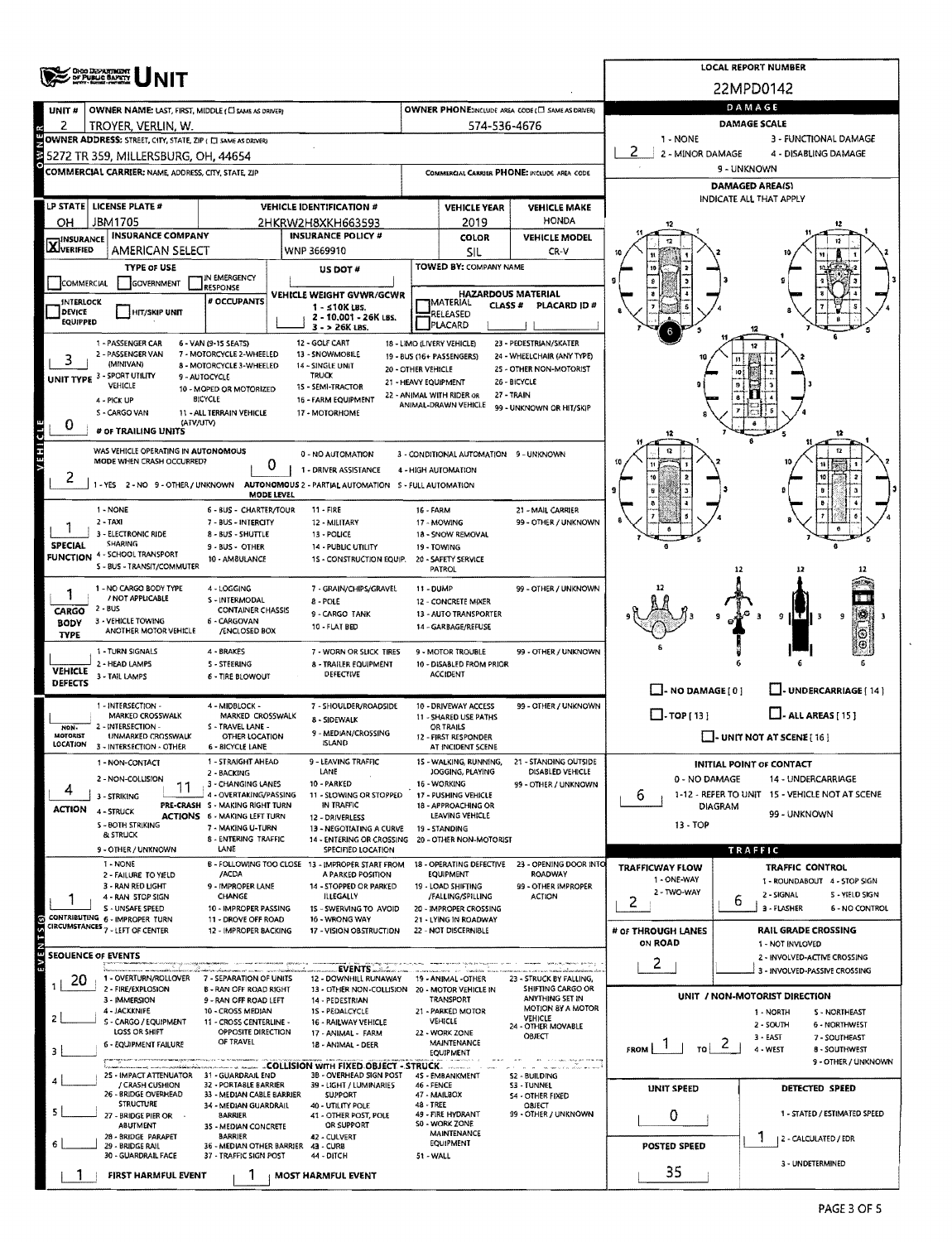|                                    | <b>ONO DEPARTMENT</b><br>OF PUBLIC BAFKTY                                                                    |                                                           | <b>LOCAL REPORT NUMBER</b>                                                                     |                      |                                                   |                                                       |                                                                       |                                                              |  |  |  |  |
|------------------------------------|--------------------------------------------------------------------------------------------------------------|-----------------------------------------------------------|------------------------------------------------------------------------------------------------|----------------------|---------------------------------------------------|-------------------------------------------------------|-----------------------------------------------------------------------|--------------------------------------------------------------|--|--|--|--|
|                                    |                                                                                                              |                                                           |                                                                                                |                      |                                                   |                                                       |                                                                       | 22MPD0142                                                    |  |  |  |  |
| unit #                             | OWNER NAME: LAST, FIRST, MIDDLE (CI SAME AS DRIVER)                                                          |                                                           | <b>OWNER PHONE:INCLUDE AREA CODE (E) SAME AS DRIVER)</b>                                       |                      | DAMAGE                                            |                                                       |                                                                       |                                                              |  |  |  |  |
| 2                                  | TROYER, VERLIN, W.                                                                                           |                                                           |                                                                                                |                      | 574-536-4676                                      |                                                       |                                                                       | DAMAGE SCALE                                                 |  |  |  |  |
|                                    | OWNER ADDRESS: STREET, CITY, STATE, ZIP ( C) SAME AS DRIVERY                                                 |                                                           |                                                                                                |                      |                                                   |                                                       | 1 - NONE                                                              | 3 - FUNCTIONAL DAMAGE                                        |  |  |  |  |
|                                    | 5272 TR 359, MILLERSBURG, OH, 44654                                                                          |                                                           |                                                                                                |                      |                                                   |                                                       | 2 - MINOR DAMAGE<br>4 - DISABLING DAMAGE<br>9 - UNKNOWN               |                                                              |  |  |  |  |
|                                    | COMMERCIAL CARRIER: NAME, ADDRESS, CITY, STATE, ZIP                                                          |                                                           |                                                                                                |                      |                                                   | COMMERCIAL CARRIER PHONE: INCLUDE AREA CODE           |                                                                       | <b>DAMAGED AREA(S)</b>                                       |  |  |  |  |
|                                    | <b>LP STATE LICENSE PLATE #</b>                                                                              |                                                           | <b>VEHICLE IDENTIFICATION #</b>                                                                |                      |                                                   |                                                       |                                                                       | INDICATE ALL THAT APPLY                                      |  |  |  |  |
| OН                                 | JBM1705                                                                                                      |                                                           | 2HKRW2H8XKH663593                                                                              |                      | <b>VEHICLE YEAR</b><br>2019                       | <b>VEHICLE MAKE</b><br>HONDA                          |                                                                       |                                                              |  |  |  |  |
|                                    | <b>INSURANCE COMPANY</b>                                                                                     |                                                           | <b>INSURANCE POLICY #</b>                                                                      |                      | <b>COLOR</b>                                      | <b>VEHICLE MODEL</b>                                  |                                                                       |                                                              |  |  |  |  |
| <b>X</b> INSURANCE                 | AMERICAN SELECT                                                                                              |                                                           | WNP 3669910                                                                                    |                      | SIL                                               | CR-V                                                  |                                                                       |                                                              |  |  |  |  |
|                                    | <b>TYPE OF USE</b>                                                                                           | IN EMERGENCY                                              | US DOT #                                                                                       |                      | TOWED BY: COMPANY NAME                            |                                                       |                                                                       |                                                              |  |  |  |  |
| COMMERCIAL                         | GOVERNMENT                                                                                                   | RESPONSE                                                  | VEHICLE WEIGHT GVWR/GCWR                                                                       |                      |                                                   | <b>HAZARDOUS MATERIAL</b>                             |                                                                       |                                                              |  |  |  |  |
| <b>INTERLOCK</b><br>DEVICE         | <b>HIT/SKIP UNIT</b>                                                                                         | # OCCUPANTS                                               | $1 - 10K$ LBS.                                                                                 |                      | MATERIAL<br>CLASS #<br>RELEASED                   | PLACARD ID#                                           |                                                                       |                                                              |  |  |  |  |
| EQUIPPED                           |                                                                                                              |                                                           | 2 - 10,001 - 26K LBS.<br>3 - > 26K LBS.                                                        |                      | PLACARD                                           |                                                       |                                                                       |                                                              |  |  |  |  |
|                                    | 1 - PASSENGER CAR                                                                                            | 6 - VAN (9-15 SEATS)                                      | 12 - GOLF CART                                                                                 |                      | 18 - LIMO (LIVERY VEHICLE)                        | 23 - PEDESTRIAN/SKATER                                |                                                                       |                                                              |  |  |  |  |
| 3                                  | 2 - PASSENGER VAN<br>(MINIVAN)                                                                               | 7 - MOTORCYCLE 2-WHEELED<br>8 - MOTORCYCLE 3-WHEELED      | 13 - SNOWMOBILE<br>14 - SINGLE UNIT                                                            | 20 - OTHER VEHICLE   | 19 - 8US (16+ PASSENGERS)                         | 24 - WHEELCHAIR (ANY TYPE)<br>25 - OTHER NON-MOTORIST |                                                                       |                                                              |  |  |  |  |
|                                    | UNIT TYPE 3 - SPORT UTILITY<br>VEHICLE                                                                       | 9 - AUTOCYCLE<br>10 - MOPED OR MOTORIZED                  | TRUCK<br>15 - SEMI-TRACTOR                                                                     | 21 - HEAVY EQUIPMENT |                                                   | 26 - BICYCLE                                          |                                                                       |                                                              |  |  |  |  |
|                                    | 4 - PICK UP                                                                                                  | <b>BICYCLE</b>                                            | 16 - FARM EQUIPMENT                                                                            |                      | 22 - ANIMAL WITH RIDER OR<br>ANIMAL-DRAWN VEHICLE | 27 - TRAIN                                            |                                                                       |                                                              |  |  |  |  |
|                                    | S - CARGO VAN<br>(ATV/UTV)                                                                                   | 11 - ALL TERRAIN VEHICLE                                  | 17 - MOTORHOME                                                                                 |                      |                                                   | 99 - UNKNOWN OR HIT/SKIP                              |                                                                       |                                                              |  |  |  |  |
| 0                                  | # OF TRAILING UNITS                                                                                          |                                                           |                                                                                                |                      |                                                   |                                                       |                                                                       |                                                              |  |  |  |  |
| <b>VEHICLE</b>                     | WAS VEHICLE OPERATING IN AUTONOMOUS                                                                          |                                                           | 0 - NO AUTOMATION                                                                              |                      | 3 - CONDITIONAL AUTOMATION 9 - UNKNOWN            |                                                       |                                                                       |                                                              |  |  |  |  |
|                                    | MODE WHEN CRASH OCCURRED?                                                                                    | 0                                                         | 1 - DRIVER ASSISTANCE                                                                          |                      | 4 - HIGH AUTOMATION                               |                                                       |                                                                       |                                                              |  |  |  |  |
| ۷                                  |                                                                                                              | <b>MODE LEVEL</b>                                         | 1 - YES 2 - NO 9 - OTHER / UNKNOWN AUTONOMOUS 2 - PARTIAL AUTOMATION S - FULL AUTOMATION       |                      |                                                   |                                                       |                                                                       |                                                              |  |  |  |  |
|                                    | 1 - NONE                                                                                                     | 6 - BUS - CHARTER/TOUR                                    | $11 - FIRE$                                                                                    | <b>16 - FARM</b>     |                                                   | 21 - MAIL CARRIER                                     |                                                                       |                                                              |  |  |  |  |
|                                    | $2 - TAXI$                                                                                                   | 12 - MILITARY                                             |                                                                                                | 17 - MOWING          | 99 - OTHER / UNKNOWN                              |                                                       |                                                                       |                                                              |  |  |  |  |
| <b>SPECIAL</b>                     | 3 - ELECTRONIC RIDE<br>8 - BUS - SHUTTLE<br>13 - POLICE<br>SHARING<br>9 - BUS - OTHER<br>14 - PUBLIC UTILITY |                                                           |                                                                                                |                      | 18 - SNOW REMOVAL<br>19 - TOWING                  |                                                       |                                                                       |                                                              |  |  |  |  |
|                                    | <b>FUNCTION 4 - SCHOOL TRANSPORT</b><br>S - BUS - TRANSIT/COMMUTER                                           | 10 - AMBULANCE                                            | 1S - CONSTRUCTION EQUIP.                                                                       |                      | 20 - SAFETY SERVICE                               |                                                       |                                                                       |                                                              |  |  |  |  |
|                                    |                                                                                                              |                                                           |                                                                                                |                      | PATROL                                            |                                                       |                                                                       | 12                                                           |  |  |  |  |
|                                    | 1 - NO CARGO BODY TYPE<br>/ NOT APPLICABLE                                                                   | 4 - LOGGING<br>S - INTERMODAL                             | 7 - GRAIN/CHIPS/GRAVEL<br>8 - POLE                                                             | 11 - DUMP            | 12 - CONCRETE MIXER                               | 99 - OTHER / UNKNOWN                                  |                                                                       |                                                              |  |  |  |  |
| <b>CARGO</b>                       | 2 - BUS<br>3 - VEHICLE TOWING                                                                                | <b>CONTAINER CHASSIS</b><br>6 - CARGOVAN                  | 9 - CARGO TANK                                                                                 |                      | 13 - AUTO TRANSPORTER                             |                                                       |                                                                       | 9                                                            |  |  |  |  |
| <b>BODY</b><br>TYPE                | ANOTHER MOTOR VEHICLE                                                                                        | /ENCLOSED BOX                                             | 10 - FLAT BED                                                                                  |                      | 14 - GARBAGE/REFUSE                               |                                                       |                                                                       |                                                              |  |  |  |  |
|                                    | 1 - TURN SIGNALS                                                                                             | 4 - BRAKES                                                | 7 - WORN OR SLICK TIRES                                                                        |                      | 9 - MOTOR TROUBLE                                 | 99 - OTHER / UNKNOWN                                  |                                                                       |                                                              |  |  |  |  |
| <b>VEHICLE</b>                     | 2 - HEAD LAMPS<br>3 - TAIL LAMPS                                                                             | <b>S-STEERING</b><br><b>6 - TIRE BLOWOUT</b>              | 8 - TRAILER EQUIPMENT<br>DEFECTIVE                                                             |                      | 10 - DISABLED FROM PRIOR<br><b>ACCIDENT</b>       |                                                       |                                                                       |                                                              |  |  |  |  |
| DEFECTS                            |                                                                                                              |                                                           |                                                                                                |                      |                                                   |                                                       | $\Box$ - NO DAMAGE [ 0 ]                                              | UNDERCARRIAGE [14]                                           |  |  |  |  |
|                                    | 1 - INTERSECTION -                                                                                           | 4 - MIDBLOCK -                                            | 7 - SHOULDER/ROADSIDE                                                                          |                      | 10 - DRIVEWAY ACCESS                              | 99 - OTHER / UNKNOWN                                  | $\Box$ -TOP [13]                                                      | $\Box$ - ALL AREAS [ 15 ]                                    |  |  |  |  |
| NON-                               | MARKED CROSSWALK<br>2 - INTERSECTION -                                                                       | MARKED CROSSWALK<br>S - TRAVEL LANE -                     | 8 - SIDEWALK<br>9 - MEDIAN/CROSSING                                                            |                      | 11 - SHARED USE PATHS<br><b>OR TRAILS</b>         |                                                       |                                                                       |                                                              |  |  |  |  |
| <b>MOTORIST</b><br><b>LOCATION</b> | UNMARKED CROSSWALK<br>3 - INTERSECTION - OTHER                                                               | OTHER LOCATION<br>6 - BICYCLE LANE                        | <b>ISLAND</b>                                                                                  |                      | 12 - FIRST RESPONDER<br>AT INCIDENT SCENE         |                                                       | $\Box$ - UNIT NOT AT SCENE [16]                                       |                                                              |  |  |  |  |
|                                    | 1 - NON-CONTACT                                                                                              | 1 - STRAIGHT AHEAD                                        | 9 - LEAVING TRAFFIC                                                                            |                      | 15 - WALKING, RUNNING,                            | 21 - STANDING OUTSIDE                                 |                                                                       | <b>INITIAL POINT OF CONTACT</b>                              |  |  |  |  |
|                                    | 2 - NON-COLLISION                                                                                            | 2 - BACKING<br>3 - CHANGING LANES                         | LANE<br>10 - PARKED                                                                            |                      | JOGGING, PLAYING<br>16 - WORKING                  | DISABLED VEHICLE<br>99 - OTHER / UNKNOWN              | 0 - NO DAMAGE                                                         | 14 - UNDERCARRIAGE                                           |  |  |  |  |
| 4                                  | 3 - STRIKING                                                                                                 | 4 - OVERTAKING/PASSING<br>PRE-CRASH S - MAKING RIGHT TURN | 11 - SLOWING OR STOPPED<br>IN TRAFFIC                                                          |                      | 17 - PUSHING VEHICLE<br>18 - APPROACHING OR       |                                                       | 1-12 - REFER TO UNIT 15 - VEHICLE NOT AT SCENE<br>6<br><b>DIAGRAM</b> |                                                              |  |  |  |  |
| <b>ACTION</b>                      | 4 - STRUCK                                                                                                   | <b>ACTIONS</b> 6 - MAKING LEFT TURN                       | 12 - DRIVERLESS                                                                                |                      | LEAVING VEHICLE                                   |                                                       |                                                                       | 99 - UNKNOWN                                                 |  |  |  |  |
|                                    | S - BOTH STRIKING<br><b>&amp; STRUCK</b>                                                                     | 7 - MAKING U-TURN<br>8 - ENTERING TRAFFIC                 | 13 - NEGOTIATING A CURVE<br>19 - STANDING<br>14 - ENTERING OR CROSSING 20 - OTHER NON-MOTORIST |                      |                                                   |                                                       | 13 - TOP                                                              |                                                              |  |  |  |  |
|                                    | 9 - OTHER / UNKNOWN                                                                                          | LANE                                                      | SPECIFIED LOCATION                                                                             |                      |                                                   |                                                       |                                                                       | TRAFFIC                                                      |  |  |  |  |
|                                    | 1 - NONE<br>2 - FAILURE TO YIELD                                                                             | /ACDA                                                     | B - FOLLOWING TOO CLOSE 13 - IMPROPER START FROM<br>A PARKED POSITION                          |                      | 18 - OPERATING DEFECTIVE<br><b>EQUIPMENT</b>      | 23 - OPENING DOOR INTO<br>ROADWAY                     | <b>TRAFFICWAY FLOW</b>                                                | <b>TRAFFIC CONTROL</b>                                       |  |  |  |  |
|                                    | 3 - RAN RED LIGHT<br>4 - RAN STOP SIGN                                                                       | 9 - IMPROPER LANE<br>CHANGE                               | 14 - STOPPED OR PARKED<br>ILLEGALLY                                                            |                      | 19 - LOAD SHIFTING<br>/FALLING/SPILLING           | 99 - OTHER IMPROPER<br>ACTION                         | 1 - ONE-WAY<br>2 - TWO-WAY                                            | 1 - ROUNDABOUT 4 - STOP SIGN<br>2 - SIGNAL<br>S - YIELD SIGN |  |  |  |  |
|                                    | S - UNSAFE SPEED                                                                                             | 10 - IMPROPER PASSING                                     | 15 - SWERVING TO AVOID                                                                         |                      | 20 - IMPROPER CROSSING                            |                                                       | 2                                                                     | 6<br>3 - FLASHER<br>6 - NO CONTROL                           |  |  |  |  |
|                                    | CONTRIBUTING 6 - IMPROPER TURN<br>CIRCUMSTANCES <sub>7</sub> - LEFT OF CENTER                                | 11 - DROVE OFF ROAD<br>12 - IMPROPER BACKING              | 16 - WRONG WAY<br>17 - VISION OBSTRUCTION                                                      |                      | 21 - LYING IN ROADWAY<br>22 - NOT DISCERNIBLE     |                                                       | # OF THROUGH LANES                                                    | <b>RAIL GRADE CROSSING</b>                                   |  |  |  |  |
| $(5)$ S $\pm$ N $\pm$              |                                                                                                              |                                                           |                                                                                                |                      |                                                   |                                                       | ON ROAD                                                               | 1 - NOT INVLOVED                                             |  |  |  |  |
|                                    | <b>SEQUENCE OF EVENTS</b>                                                                                    |                                                           | <b>EVENTS</b>                                                                                  |                      |                                                   |                                                       | 2                                                                     | 2 - INVOLVED-ACTIVE CROSSING                                 |  |  |  |  |
| 20                                 | 1 - OVERTURN/ROLLOVER                                                                                        | 7 - SEPARATION OF UNITS                                   | 12 - DOWNHILL RUNAWAY                                                                          |                      | 19 - ANIMAL - OTHER                               | 23 - STRUCK BY FALLING,                               |                                                                       | 3 - INVOLVED-PASSIVE CROSSING                                |  |  |  |  |
|                                    | 2 - FIRE/EXPLOSION<br>3 - MMERSION                                                                           | <b>B-RAN OFF ROAD RIGHT</b><br>9 - RAN OFF ROAD LEFT      | 13 - OTHER NON-COLLISION 20 - MOTOR VEHICLE IN<br>14 - PEDESTRIAN                              |                      | TRANSPORT                                         | SHIFTING CARGO OR<br>ANYTHING SET IN                  |                                                                       | UNIT / NON-MOTORIST DIRECTION                                |  |  |  |  |
|                                    | 4 - JACKKNIFE<br>S - CARGO / EQUIPMENT                                                                       | 10 - CROSS MEDIAN<br>11 - CROSS CENTERLINE -              | 15 - PEDALCYCLE<br>16 - RAILWAY VEHICLE                                                        |                      | 21 - PARKED MOTOR<br>VEHICLE                      | <b>MOTION 8Y A MOTOR</b><br>VEHICLE                   |                                                                       | 1 - NORTH<br><b>S-NORTHEAST</b>                              |  |  |  |  |
|                                    | LOSS OR SHIFT                                                                                                | OPPOSITE DIRECTION                                        | 17 - ANIMAL - FARM                                                                             |                      | 22 - WORK ZONE                                    | 24 - OTHER MOVABLE<br>OBJECT                          |                                                                       | 6 - NORTHWEST<br>2 - SOUTH<br>$3 - EAST$<br>7 - SOUTHEAST    |  |  |  |  |
|                                    | 6 - EQUIPMENT FAILURE                                                                                        | OF TRAVEL                                                 | 18 - ANIMAL - DEER                                                                             |                      | MAINTENANCE<br><b>EQUIPMENT</b>                   |                                                       | <b>FROM</b><br>TO                                                     | $\mathbf{z}$<br>4 - WEST<br>8 - SOUTHWEST                    |  |  |  |  |
|                                    | 25 - IMPACT ATTENUATOR 31 - GUARDRAIL END                                                                    |                                                           | . COLLISION WITH FIXED OBJECT - STRUCK.<br>3B - OVERHEAD SIGN POST                             |                      | 45 - EMBANKMENT                                   | The Construction of the Construction<br>52 - BUILDING |                                                                       | 9 - OTHER / UNKNOWN                                          |  |  |  |  |
|                                    | / CRASH CUSHION<br>26 - BRIDGE OVERHEAD                                                                      | 32 - PORTABLE BARRIER                                     | 39 - LIGHT / LUMINARIES                                                                        | 46 - FENCE           |                                                   | <b>S3 - TUNNEL</b>                                    | UNIT SPEED                                                            | DETECTED SPEED                                               |  |  |  |  |
|                                    | <b>STRUCTURE</b>                                                                                             | 33 - MEDIAN CABLE BARRIER<br>34 - MEDIAN GUARDRAIL        | SUPPORT<br>40 - UTILITY POLE                                                                   | 48 - TREE            | 47 - MAILBOX                                      | 54 - OTHER FIXED<br><b>OBJECT</b>                     |                                                                       |                                                              |  |  |  |  |
|                                    | 27 - BRIDGE PIER OR<br><b>ABUTMENT</b>                                                                       | <b>BARRIER</b><br>35 - MEDIAN CONCRETE                    | 41 - OTHER POST, POLE<br>OR SUPPORT                                                            |                      | 49 - FIRE HYDRANT<br>50 - WORK ZONE               | 99 - OTHER / UNKNOWN                                  | 0                                                                     | 1 - STATED / ESTIMATED SPEED                                 |  |  |  |  |
|                                    | 28 - BRIDGE PARAPET<br>29 - BRIDGE RAIL                                                                      | <b>BARRIER</b><br>36 - MEDIAN OTHER BARRIER 43 - CURB     | 42 - CULVERT                                                                                   |                      | <b>MAINTENANCE</b><br><b>EQUIPMENT</b>            |                                                       | POSTED SPEED                                                          | 2 - CALCULATED / EDR                                         |  |  |  |  |
|                                    | 30 - GUARDRAIL FACE                                                                                          | 37 - TRAFFIC SIGN POST                                    | 44 - DITCH                                                                                     | 51 - WALL            |                                                   |                                                       |                                                                       | 3 - UNDETERMINED                                             |  |  |  |  |
|                                    | FIRST HARMFUL EVENT                                                                                          |                                                           | <b>MOST HARMFUL EVENT</b>                                                                      |                      |                                                   |                                                       | 35                                                                    |                                                              |  |  |  |  |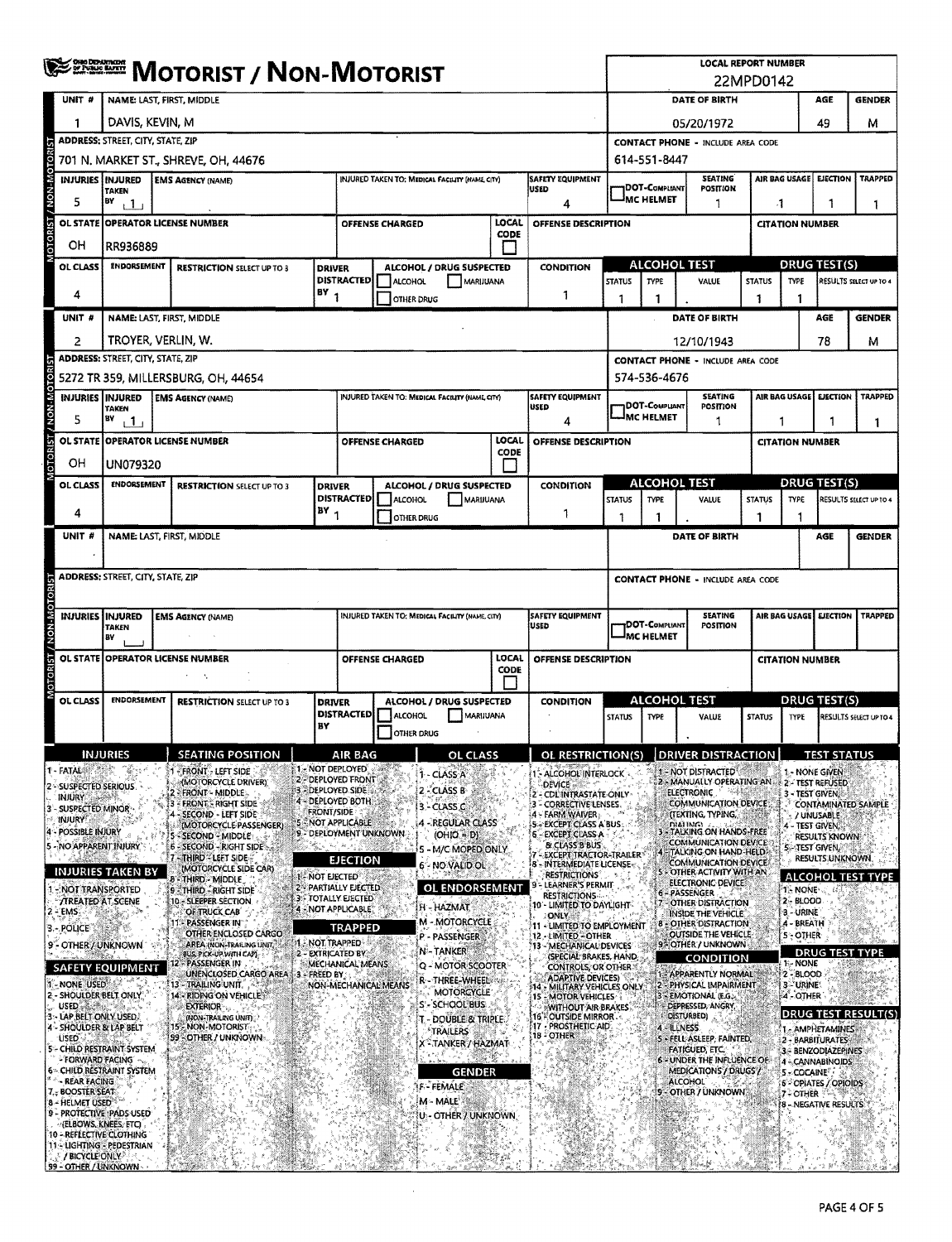|                     |                                                | <b>SERGER MOTORIST / NON-MOTORIST</b>                          |                                                                        |                    |                                                                                        |                        |                                                 |               |                                                                                        | <b>LOCAL REPORT NUMBER</b><br>22MPD0142                      |                                                                                 |                                                           |                        |                                                    |                                         |                          |  |
|---------------------|------------------------------------------------|----------------------------------------------------------------|------------------------------------------------------------------------|--------------------|----------------------------------------------------------------------------------------|------------------------|-------------------------------------------------|---------------|----------------------------------------------------------------------------------------|--------------------------------------------------------------|---------------------------------------------------------------------------------|-----------------------------------------------------------|------------------------|----------------------------------------------------|-----------------------------------------|--------------------------|--|
|                     | UNIT #                                         | NAME: LAST, FIRST, MIDDLE                                      |                                                                        |                    |                                                                                        |                        |                                                 |               |                                                                                        |                                                              | DATE OF BIRTH<br>AGE<br><b>GENDER</b>                                           |                                                           |                        |                                                    |                                         |                          |  |
|                     | 1                                              | DAVIS, KEVIN, M                                                |                                                                        |                    |                                                                                        |                        |                                                 |               |                                                                                        | 05/20/1972                                                   |                                                                                 |                                                           |                        |                                                    | 49                                      | м                        |  |
|                     |                                                | <b>ADDRESS: STREET, CITY, STATE, ZIP</b>                       |                                                                        |                    |                                                                                        |                        |                                                 |               |                                                                                        |                                                              | <b>CONTACT PHONE - INCLUDE AREA CODE</b>                                        |                                                           |                        |                                                    |                                         |                          |  |
| NON-MOTOR           |                                                |                                                                | 701 N. MARKET ST., SHREVE, OH, 44676                                   |                    |                                                                                        |                        |                                                 |               |                                                                                        |                                                              | 614-551-8447                                                                    |                                                           |                        |                                                    |                                         |                          |  |
|                     | INJURIES INJURED                               | <b>TAKEN</b>                                                   | <b>EMS AGENCY (NAME)</b>                                               |                    |                                                                                        |                        | INJURED TAKEN TO: MEDICAL FACILITY (NAME, CITY) |               | <b>SAFETY EQUIPMENT</b><br>lused                                                       |                                                              | <b>DOT-COMPLIANT</b><br><sup>J</sup> MC HELMET                                  | SEATING<br>POSITION                                       |                        | AIR BAG USAGE                                      | <b>EJECTION</b>                         | <b>TRAPPED</b>           |  |
|                     | 5                                              | BY<br>11                                                       |                                                                        |                    |                                                                                        |                        |                                                 |               | 4                                                                                      |                                                              |                                                                                 | 1                                                         | -1                     |                                                    | 1                                       | ı                        |  |
| <b>OTORIST</b>      |                                                |                                                                | OL STATE OPERATOR LICENSE NUMBER                                       |                    |                                                                                        | <b>OFFENSE CHARGED</b> |                                                 | LOCAL<br>CODE | OFFENSE DESCRIPTION                                                                    |                                                              |                                                                                 |                                                           |                        | <b>CITATION NUMBER</b>                             |                                         |                          |  |
|                     | ОH<br>OL CLASS                                 | <b><i>ENDORSEMENT</i></b>                                      | RR936889<br><b>RESTRICTION SELECT UP TO 3</b><br><b>DRIVER</b>         |                    |                                                                                        |                        | ALCOHOL / DRUG SUSPECTED                        |               | <b>CONDITION</b>                                                                       |                                                              | <b>ALCOHOL TEST</b>                                                             |                                                           |                        |                                                    | DRUG TEST(S)                            |                          |  |
|                     |                                                |                                                                |                                                                        |                    | <b>DISTRACTED</b>                                                                      | ALCOHOL                | MARIJUANA                                       |               |                                                                                        | <b>STATUS</b>                                                | <b>TYPE</b>                                                                     | VALUE                                                     | <b>STATUS</b>          | TYPE                                               |                                         | RESULTS SELECT UP TO 4   |  |
|                     | 4                                              | $18Y_1$                                                        |                                                                        |                    |                                                                                        | <b>OTHER DRUG</b>      |                                                 |               | 1                                                                                      | 1                                                            | 1                                                                               |                                                           | 1                      | 1                                                  |                                         |                          |  |
|                     | UNIT #                                         |                                                                | NAME: LAST, FIRST, MIDDLE                                              |                    |                                                                                        |                        |                                                 |               |                                                                                        |                                                              |                                                                                 | DATE OF BIRTH                                             |                        |                                                    | AGE                                     | <b>GENDER</b>            |  |
|                     | $\overline{2}$                                 | TROYER, VERLIN, W.<br><b>ADDRESS: STREET, CITY, STATE, ZIP</b> |                                                                        |                    |                                                                                        |                        |                                                 |               |                                                                                        |                                                              |                                                                                 | 12/10/1943                                                |                        |                                                    | 78                                      | м                        |  |
| <b>NON-MOTORIST</b> |                                                |                                                                | 5272 TR 359, MILLERSBURG, OH, 44654                                    |                    |                                                                                        |                        |                                                 |               |                                                                                        |                                                              |                                                                                 | <b>CONTACT PHONE - INCLUDE AREA CODE</b>                  |                        |                                                    |                                         |                          |  |
|                     | INJURIES   INJURED                             |                                                                | <b>EMS AGENCY (NAME)</b>                                               |                    |                                                                                        |                        | INJURED TAKEN TO: MEDICAL FACILITY (NAME CITY)  |               | <b>SAFETY EQUIPMENT</b>                                                                |                                                              | 574-536-4676<br><b>SEATING</b>                                                  |                                                           |                        | AIR BAG USAGE<br><b>EJECTION</b><br><b>TRAPPED</b> |                                         |                          |  |
|                     | 5                                              | <b>TAKEN</b><br>B٧<br>$\Box$                                   |                                                                        |                    |                                                                                        |                        |                                                 |               | USED<br>4                                                                              |                                                              | DOT-Compliant<br><b>MC HELMET</b>                                               | POSITION<br>1                                             | 1                      |                                                    | П                                       | 1                        |  |
|                     |                                                |                                                                | OL STATE OPPERATOR LICENSE NUMBER                                      |                    |                                                                                        | OFFENSE CHARGED        |                                                 | LOCAL         | OFFENSE DESCRIPTION                                                                    |                                                              |                                                                                 |                                                           |                        | <b>CITATION NUMBER</b>                             |                                         |                          |  |
| <b>DTORST</b>       | OН                                             | UN079320                                                       |                                                                        |                    |                                                                                        |                        |                                                 | CODE          |                                                                                        |                                                              |                                                                                 |                                                           |                        |                                                    |                                         |                          |  |
|                     | OL CLASS                                       | ENDORSEMENT                                                    | <b>RESTRICTION SELECT UP TO 3</b>                                      | <b>DRIVER</b>      |                                                                                        |                        | ALCOHOL / DRUG SUSPECTED                        |               | <b>CONDITION</b>                                                                       | <b>ALCOHOL TEST</b>                                          |                                                                                 |                                                           | <b>DRUG TEST(S)</b>    |                                                    |                                         |                          |  |
|                     | 4                                              |                                                                |                                                                        | $BY_1$             | <b>DISTRACTED</b>                                                                      | ALCOHOL                | <b>MARUUANA</b><br>1                            |               |                                                                                        | <b>STATUS</b>                                                | <b>TYPE</b>                                                                     | VALUE                                                     | <b>STATUS</b>          | <b>TYPE</b>                                        |                                         | RESULTS SELECT UP TO 4   |  |
|                     | UNIT#                                          |                                                                | NAME: LAST, FIRST, MIDDLE                                              |                    |                                                                                        | OTHER DRUG             |                                                 |               |                                                                                        | 1                                                            | 1                                                                               | DATE OF BIRTH                                             | 1                      |                                                    | <b>AGE</b>                              | <b>GENDER</b>            |  |
|                     |                                                |                                                                |                                                                        |                    |                                                                                        |                        |                                                 |               |                                                                                        |                                                              |                                                                                 |                                                           |                        |                                                    |                                         |                          |  |
|                     |                                                | ADDRESS: STREET, CITY, STATE, ZIP                              |                                                                        |                    |                                                                                        |                        |                                                 |               |                                                                                        | <b>CONTACT PHONE - INCLUDE AREA CODE</b>                     |                                                                                 |                                                           |                        |                                                    |                                         |                          |  |
| <b>OTORI</b>        |                                                |                                                                |                                                                        |                    |                                                                                        |                        |                                                 |               |                                                                                        |                                                              |                                                                                 |                                                           |                        |                                                    |                                         |                          |  |
| <b>NON-M</b>        | <b>INJURIES   INJURED</b>                      | <b>TAKEN</b>                                                   | <b>EMS AGENCY (NAME)</b>                                               |                    |                                                                                        |                        | INJURED TAKEN TO: MEDICAL FACILITY (NAME, CITY) |               | <b>SAFETY EQUIPMENT</b><br><b>USED</b>                                                 |                                                              | <b>SEATING</b><br>AIR BAG USAGE<br><b>EJECTION</b><br>DOT-COMPLIANT<br>POSITION |                                                           |                        |                                                    |                                         | <b>TRAPPED</b>           |  |
|                     |                                                | В٧                                                             |                                                                        |                    |                                                                                        |                        |                                                 |               | <b>IMC HELMET</b>                                                                      |                                                              |                                                                                 |                                                           |                        |                                                    |                                         |                          |  |
| <b>FOR</b>          |                                                |                                                                | OL STATE OPERATOR LICENSE NUMBER                                       |                    |                                                                                        | <b>OFFENSE CHARGED</b> |                                                 | LOCAL<br>CODE |                                                                                        | OFFENSE DESCRIPTION                                          |                                                                                 |                                                           | <b>CITATION NUMBER</b> |                                                    |                                         |                          |  |
|                     |                                                |                                                                | $\epsilon = -\epsilon_2$                                               |                    |                                                                                        |                        |                                                 |               |                                                                                        |                                                              |                                                                                 |                                                           |                        |                                                    |                                         |                          |  |
|                     | OL CLASS                                       | <b>ENDORSEMENT</b>                                             | <b>RESTRICTION SELECT UP TO 3</b>                                      |                    | <b>DRIVER</b><br>ALCOHOL / DRUG SUSPECTED<br><b>DISTRACTED</b><br>ALCOHOL<br>MARIJUANA |                        |                                                 |               | <b>CONDITION</b>                                                                       | <b>ALCOHOL TEST</b><br><b>STATUS</b><br><b>TYPE</b><br>VALUE |                                                                                 | <u>DRUG TEST(S)</u><br><b>STATUS</b><br><b>TYPE</b>       |                        | RESULTS SELECT UP TO 4                             |                                         |                          |  |
|                     |                                                |                                                                |                                                                        | BY                 |                                                                                        | <b>OTHER DRUG</b>      |                                                 |               |                                                                                        |                                                              |                                                                                 |                                                           |                        |                                                    |                                         |                          |  |
|                     |                                                |                                                                | <b>SEATING POSITION</b>                                                |                    | <b>AIR BAG</b>                                                                         |                        | <b>OL CLASS</b>                                 |               | OL RESTRICTION(S)                                                                      |                                                              |                                                                                 | DRIVER DISTRACTION                                        |                        |                                                    |                                         |                          |  |
|                     | 1 - FATAL®<br>2 SUSPECTED SERIOUS              |                                                                | - FRONT - LEFT SIDE<br>(MOTORCYCLE DRIVER)                             |                    | 1 - NOT DEPLOYED<br><b>2. DEPLOYED FRONT</b>                                           |                        | 1 - CLASS A                                     |               | - ALCOHOL INTERLOCK<br>DEVICE                                                          |                                                              |                                                                                 | 1 - NOT DISTRACTED<br>2 - MANUALLY OPERATING AN           |                        |                                                    | 1. NONE GIVEN<br>2 - TEST REFUSED       |                          |  |
| 13                  | <b>INJURY</b><br>- SUSPECTED MINOR-            |                                                                | - FRONT - MIDDLE<br>- FRONT - RIGHT SIDE                               |                    | 3 - DEPLOYED SIDE<br>4 - DEPLOYED BOTH                                                 |                        | 2 CLASS B<br>3 CLASS C                          |               | 2 - CDL INTRASTATE ONLY<br>3 - CORRECTIVE LENSES.                                      |                                                              |                                                                                 | <b>ELECTRONIC</b><br><b>COMMUNICATION DEVICE</b>          |                        |                                                    | 3 - TEST GIVEN,                         | CONTAMINATED SAMPLE      |  |
|                     | <b>INJURY:</b><br>- POSSIBLE INJURY            |                                                                | <b>SECOND - LEFT SIDE</b><br>(MOTORCYCLE PASSENGER)                    | <b>FRONT/SIDE</b>  | <b>5 NOT APPLICABLE</b>                                                                |                        | <b>4 - REGULAR CLASS</b>                        |               | 4 - FARM WAIVER<br>5 - EXCEPT CLASS A BUS.                                             |                                                              |                                                                                 | (TEXTING, TYPING,<br>гилі імгі<br>- TALKING ON HANDS-FREE |                        |                                                    | / UNUSABLE<br>- TEST GIVEN.             |                          |  |
|                     | - NO APPARENT INJURY                           |                                                                | - SECOND - MIDDLE<br>6 - SECOND - RIGHT SIDE:                          |                    | 9 - DEPLOYMENT UNKNOWN                                                                 |                        | $(OHIO = D)$<br>5 - M/C MOPED ONLY              |               | <b>6 - EXCEPT CDASS A</b><br><b>&amp; CLASS B BUS</b><br><b>EXCEPT TRACTOR-TRAILER</b> |                                                              |                                                                                 | <b>COMMUNICATION DEVICE</b><br>4 - TALKING ON HAND-HELD   |                        |                                                    | RESULTS KNOWN<br><b>5-TEST GIVEN.</b>   |                          |  |
|                     |                                                | INJURIES TAKEN BY                                              | 7-THIRD-LEET SIDE<br>(MOTORCYCLE SIDE CAR)                             | <b>NOT ELECTED</b> | <b>EJECTION</b>                                                                        |                        | 6 - NO VALID OL                                 |               | 8 - INTERMEDIATE LICENSE<br><b>RESTRICTIONS</b>                                        |                                                              |                                                                                 | COMMUNICATION DEVICE<br>- OTHER ACTIVITY WITH AN          |                        |                                                    | RESULTS UNKNOWN.                        | <b>ALCOHOL TEST TYPE</b> |  |
|                     | NOT TRANSPORTED                                |                                                                | 8 - Third - Middle<br>9 - THIRD - RIGHT SIDE                           |                    | 2 - PARTIALLY EJECTED<br>3 - TOTALLY EJECTED                                           |                        | OL ENDORSEMENT                                  |               | LEARNER'S PERMIT<br><b>RESTRICTIONS</b>                                                |                                                              |                                                                                 | ELECTRONIC DEVICE<br>6 - PASSENGER                        |                        | 1 - NONE                                           |                                         |                          |  |
|                     | <b>TREATED AT SCENE</b><br>- EMS               |                                                                | 10 - SLEEPER SECTION.<br>OF TRUCK CAB                                  |                    | 4 - NOT APPLICABLE                                                                     |                        | H - HAZMAT                                      |               | 10 - LIMITED TO DAYLIGHT<br>∷ONLY∄                                                     |                                                              |                                                                                 | 7 - OTHER DISTRACTION<br><b>INSIDE THE VEHICLE</b>        |                        | 2 - BLOOD<br>3 URINE                               |                                         |                          |  |
|                     | 3.- POLICE                                     |                                                                | PASSENGER IN<br>OTHER ENCLOSED CARGO                                   |                    | <b>TRAPPED</b><br>14 - NOT TRAPPED                                                     |                        | <b>M-MOTORCYCLE</b><br>P - PASSENGER            |               | 11 - LIMITED TO EMPLOYMENT<br>12 - LIMITED - OTHER                                     |                                                              |                                                                                 | <b>8 - OTHER DISTRACTION</b><br>OUTSIDE THE VEHICLE       |                        | 4 - BREATH<br>5 - OTHER                            |                                         |                          |  |
|                     | 9'- OTHER / UNKNOWN                            |                                                                | AREA (NON-TRAILING UNIT,<br>BUS, PICK-UP WITH CAPI<br>2 - PASSENGER IN |                    | 2 - EXTRICATED BY<br>MECHANICAL MEANS                                                  |                        | N-TANKER<br>Q - MOTOR SCOOTER                   |               | 13 - MECHANICAL DEVICES<br>(SPECIAL BRAKES, HAND,                                      |                                                              |                                                                                 | 9 OTHER / UNKNOWN<br><b>CONDITION</b>                     |                        | 1-NONE                                             |                                         | <b>DRUG TEST TYPE</b>    |  |
|                     | 1 - NONE USED                                  | SAFETY EQUIPMENT                                               | UNENCLOSED CARGO AREA 5 - FREED BY<br>13 - TRAILING UNIT               |                    | NON-MECHANICAL MEANS                                                                   |                        | R - THREE-WHEEL                                 |               | CONTROLS, OR OTHER.<br><b>ADAPTIVE DEVICES)</b><br>14 - MILITARY VEHICLES ONLY         |                                                              |                                                                                 | <b>1 - APPARENTLY NORMAL!</b><br>2 - PHYSICAL IMPAIRMENT  |                        | $2 - BLOOD$<br>3- URINE                            |                                         |                          |  |
|                     | 2 - SHOULDER BELT ONLY<br>USED & #             |                                                                | 14 - RIDING ON VEHICLE<br><b>EXTERIOR</b>                              |                    |                                                                                        |                        | MOTORCYCLE<br>S'-SCHOOL BUS                     |               | 15 - MOTOR VEHICLES<br><b>WITHOUT AIR BRAKES</b>                                       |                                                              |                                                                                 | 3 - EMOTIONAL (E.G.)<br>DEPRESSED, ANGRY,                 |                        | 4 - OTHER                                          |                                         |                          |  |
|                     | LAP BELT ONLY USED.<br>4 - SHOULDER & LAP BELT |                                                                | (NON-TRAILING UNIT)<br>15 NON-MOTORIST                                 |                    |                                                                                        |                        | t - DOUBLE & TRIPLE.<br>TRAILERS                |               | 16 - OUTSIDE MIRROR<br>17 - PROSTHETIC AID                                             |                                                              | 4 - ILLNESS                                                                     | DISTURBED)                                                |                        |                                                    | 1 - AMPHETAMINES                        | DRUG TEST RESULT(S)      |  |
|                     | USED                                           | 5 - CHILD RESTRAINT SYSTEM                                     | 99 - OTHER / UNKNOWN                                                   |                    |                                                                                        |                        | X - TANKER / HAZMAT                             |               | 18 - OTHER                                                                             |                                                              |                                                                                 | 5 - FELL ASLEEP, FAINTED,<br>FATIGUED, ETC.               |                        |                                                    | 2 - BARBITURATES<br>3 - BENZODIAZEPINES |                          |  |
|                     | <b>FORWARD FACING</b>                          | 6- CHILD RESTRAINT SYSTEM                                      |                                                                        |                    |                                                                                        |                        | <b>GENDER</b>                                   |               |                                                                                        |                                                              |                                                                                 | 6 - UNDER THE INFLUENCE OF<br>MEDICATIONS / DRUGS /       |                        | 5 - COCAINE                                        | 4 - CANNABINOIDS                        |                          |  |
|                     | - REAR FACING<br>7. BOOSTER SEAT               |                                                                |                                                                        |                    |                                                                                        |                        | F - FEMALE                                      |               |                                                                                        |                                                              |                                                                                 | <b>ALCOHOL</b><br>- OTHER / UNKNOWN                       |                        | 7 - OTHER                                          | 6 - OPIATES / OPIOIDS                   |                          |  |
|                     | 8 - HELMET USED                                | 9 - PROTECTIVE PADS USED                                       |                                                                        |                    |                                                                                        |                        | M - MALE<br>U <sub>2</sub> - OTHER / UNKNOWN    |               |                                                                                        |                                                              |                                                                                 |                                                           |                        |                                                    | <b>8 - NEGATIVE RESULTS</b>             |                          |  |
|                     | (ELBOWS, KNEES, ETC)                           | 10 - REFLECTIVE CLOTHING<br>11 - LIGHTING - PEDESTRIAN         |                                                                        |                    |                                                                                        |                        |                                                 |               |                                                                                        |                                                              |                                                                                 |                                                           |                        |                                                    |                                         |                          |  |
|                     | / BICYCLE ONLY<br>99 - OTHER / UNKNOWN         |                                                                |                                                                        |                    |                                                                                        |                        |                                                 |               |                                                                                        |                                                              |                                                                                 |                                                           |                        |                                                    |                                         |                          |  |

 $\hat{\mathcal{A}}$